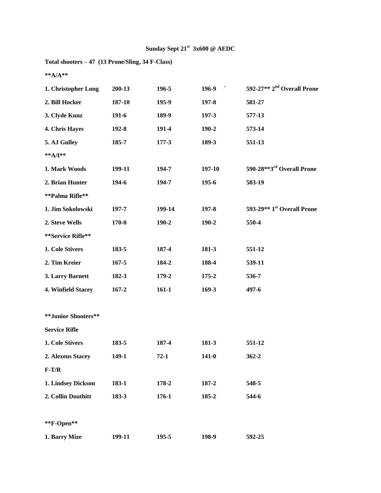**Total shooters – 47 (13 Prone/Sling, 34 F-Class)**

**\*\*A/A\*\***

| 1. Christopher Long  | 200-13    | 196-5     | $\boldsymbol{\checkmark}$<br>196-9 | 592-27** 2 <sup>nd</sup> Overall Prone             |
|----------------------|-----------|-----------|------------------------------------|----------------------------------------------------|
| 2. Bill Hocker       | 187-10    | 195-9     | $197 - 8$                          | 581-27                                             |
| 3. Clyde Kunz        | 191-6     | 189-9     | 197-3                              | 577-13                                             |
| 4. Chris Hayes       | $192 - 8$ | 191-4     | 190-2                              | 573-14                                             |
| 5. AJ Gulley         | 185-7     | $177 - 3$ | 189-3                              | 551-13                                             |
| **A/I**              |           |           |                                    |                                                    |
| 1. Mark Woods        | 199-11    | 194-7     | 197-10                             | 590-28**3 <sup>rd</sup> Overall Prone              |
| 2. Brian Hunter      | 194-6     | 194-7     | 195-6                              | 583-19                                             |
| **Palma Rifle**      |           |           |                                    |                                                    |
| 1. Jim Sokolowski    | 197-7     | 199-14    | $197 - 8$                          | 593-29 <sup>**</sup> 1 <sup>st</sup> Overall Prone |
| 2. Steve Wells       | 170-0     | $190 - 2$ | 190-2                              | 550-4                                              |
| **Service Rifle**    |           |           |                                    |                                                    |
| 1. Cole Stivers      | 183-5     | 187-4     | 181-3                              | 551-12                                             |
| 2. Tim Kreier        | $167 - 5$ | 184-2     | 188-4                              | 539-11                                             |
| 3. Larry Barnett     | 182-3     | 179-2     | 175-2                              | 536-7                                              |
| 4. Winfield Stacey   | $167 - 2$ | $161-1$   | $169-3$                            | 497-6                                              |
|                      |           |           |                                    |                                                    |
| **Junior Shooters**  |           |           |                                    |                                                    |
| <b>Service Rifle</b> |           |           |                                    |                                                    |
| 1. Cole Stivers      | 183-5     | 187-4     | 181-3                              | 551-12                                             |
| 2. Alexeus Stacey    | 149-1     | $72-1$    | $141 - 0$                          | $362 - 2$                                          |
| $F-T/R$              |           |           |                                    |                                                    |
| 1. Lindsey Dickson   | 183-1     | 178-2     | 187-2                              | 548-5                                              |
| 2. Collin Douthitt   | 183-3     | 176-1     | 185-2                              | 544-6                                              |
|                      |           |           |                                    |                                                    |
| **F-Open**           |           |           |                                    |                                                    |
| 1. Barry Mize        | 199-11    | $195 - 5$ | 198-9                              | 592-25                                             |